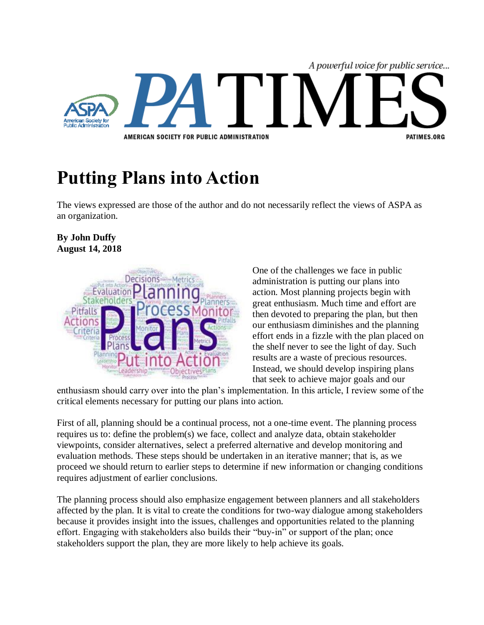

## **Putting Plans into Action**

The views expressed are those of the author and do not necessarily reflect the views of ASPA as an organization.

## **By John Duffy August 14, 2018**



One of the challenges we face in public administration is putting our plans into action. Most planning projects begin with great enthusiasm. Much time and effort are then devoted to preparing the plan, but then our enthusiasm diminishes and the planning effort ends in a fizzle with the plan placed on the shelf never to see the light of day. Such results are a waste of precious resources. Instead, we should develop inspiring plans that seek to achieve major goals and our

enthusiasm should carry over into the plan's implementation. In this article, I review some of the critical elements necessary for putting our plans into action.

First of all, planning should be a continual process, not a one-time event. The planning process requires us to: define the problem(s) we face, collect and analyze data, obtain stakeholder viewpoints, consider alternatives, select a preferred alternative and develop monitoring and evaluation methods. These steps should be undertaken in an iterative manner; that is, as we proceed we should return to earlier steps to determine if new information or changing conditions requires adjustment of earlier conclusions.

The planning process should also emphasize engagement between planners and all stakeholders affected by the plan. It is vital to create the conditions for two-way dialogue among stakeholders because it provides insight into the issues, challenges and opportunities related to the planning effort. Engaging with stakeholders also builds their "buy-in" or support of the plan; once stakeholders support the plan, they are more likely to help achieve its goals.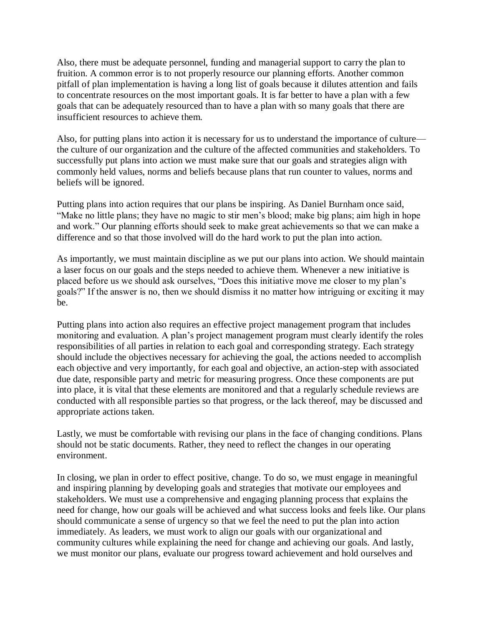Also, there must be adequate personnel, funding and managerial support to carry the plan to fruition. A common error is to not properly resource our planning efforts. Another common pitfall of plan implementation is having a long list of goals because it dilutes attention and fails to concentrate resources on the most important goals. It is far better to have a plan with a few goals that can be adequately resourced than to have a plan with so many goals that there are insufficient resources to achieve them.

Also, for putting plans into action it is necessary for us to understand the importance of culture the culture of our organization and the culture of the affected communities and stakeholders. To successfully put plans into action we must make sure that our goals and strategies align with commonly held values, norms and beliefs because plans that run counter to values, norms and beliefs will be ignored.

Putting plans into action requires that our plans be inspiring. As Daniel Burnham once said, "Make no little plans; they have no magic to stir men's blood; make big plans; aim high in hope and work." Our planning efforts should seek to make great achievements so that we can make a difference and so that those involved will do the hard work to put the plan into action.

As importantly, we must maintain discipline as we put our plans into action. We should maintain a laser focus on our goals and the steps needed to achieve them. Whenever a new initiative is placed before us we should ask ourselves, "Does this initiative move me closer to my plan's goals?" If the answer is no, then we should dismiss it no matter how intriguing or exciting it may be.

Putting plans into action also requires an effective project management program that includes monitoring and evaluation. A plan's project management program must clearly identify the roles responsibilities of all parties in relation to each goal and corresponding strategy. Each strategy should include the objectives necessary for achieving the goal, the actions needed to accomplish each objective and very importantly, for each goal and objective, an action-step with associated due date, responsible party and metric for measuring progress. Once these components are put into place, it is vital that these elements are monitored and that a regularly schedule reviews are conducted with all responsible parties so that progress, or the lack thereof, may be discussed and appropriate actions taken.

Lastly, we must be comfortable with revising our plans in the face of changing conditions. Plans should not be static documents. Rather, they need to reflect the changes in our operating environment.

In closing, we plan in order to effect positive, change. To do so, we must engage in meaningful and inspiring planning by developing goals and strategies that motivate our employees and stakeholders. We must use a comprehensive and engaging planning process that explains the need for change, how our goals will be achieved and what success looks and feels like. Our plans should communicate a sense of urgency so that we feel the need to put the plan into action immediately. As leaders, we must work to align our goals with our organizational and community cultures while explaining the need for change and achieving our goals. And lastly, we must monitor our plans, evaluate our progress toward achievement and hold ourselves and